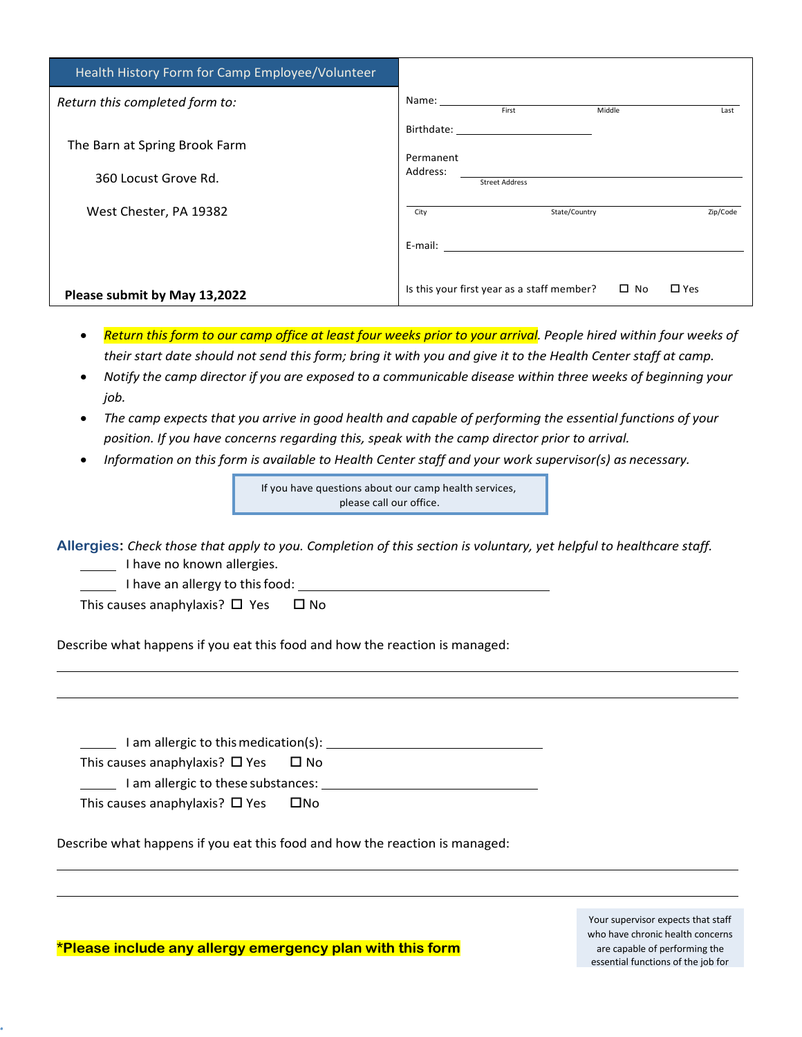| Health History Form for Camp Employee/Volunteer |                                                                                                                                                                                                                                |  |  |
|-------------------------------------------------|--------------------------------------------------------------------------------------------------------------------------------------------------------------------------------------------------------------------------------|--|--|
| Return this completed form to:                  | First<br>Middle<br>Last                                                                                                                                                                                                        |  |  |
|                                                 | Birthdate: The Communication of the Communication of the Communication of the Communication of the Communication of the Communication of the Communication of the Communication of the Communication of the Communication of t |  |  |
| The Barn at Spring Brook Farm                   | Permanent                                                                                                                                                                                                                      |  |  |
| 360 Locust Grove Rd.                            | Address:<br><b>Street Address</b>                                                                                                                                                                                              |  |  |
| West Chester, PA 19382                          | State/Country<br>Zip/Code<br>City                                                                                                                                                                                              |  |  |
|                                                 |                                                                                                                                                                                                                                |  |  |
| Please submit by May 13,2022                    | $\square$ No<br>Is this your first year as a staff member?<br>$\Box$ Yes                                                                                                                                                       |  |  |

- Return this form to our camp office at least four weeks prior to your arrival. People hired within four weeks of their start date should not send this form; bring it with you and give it to the Health Center staff at camp.
- *Notify the camp director if you are exposed to a communicable disease within three weeks of beginning your job.*
- *The camp expects that you arrive in good health and capable of performing the essential functions of your position. If you have concerns regarding this, speak with the camp director prior to arrival.*
- *Information on this form is available to Health Center staff and your work supervisor(s) as necessary.*

If you have questions about our camp health services, please call our office.

**Allergies:** *Check those that apply to you. Completion of this section is voluntary, yet helpful to healthcare staff.* I have no known allergies.

I have an allergy to this food:

This causes anaphylaxis?  $\Box$  Yes  $\Box$  No

Describe what happens if you eat this food and how the reaction is managed:

 I am allergic to this medication(s): This causes anaphylaxis?  $\Box$  Yes  $\Box$  No I am allergic to these substances: This causes anaphylaxis?  $\Box$  Yes  $\Box$  No

Describe what happens if you eat this food and how the reaction is managed:

Your supervisor expects that staff who have chronic health concerns are capable of performing the essential functions of the job for

**\*Please include any allergy emergency plan with this form**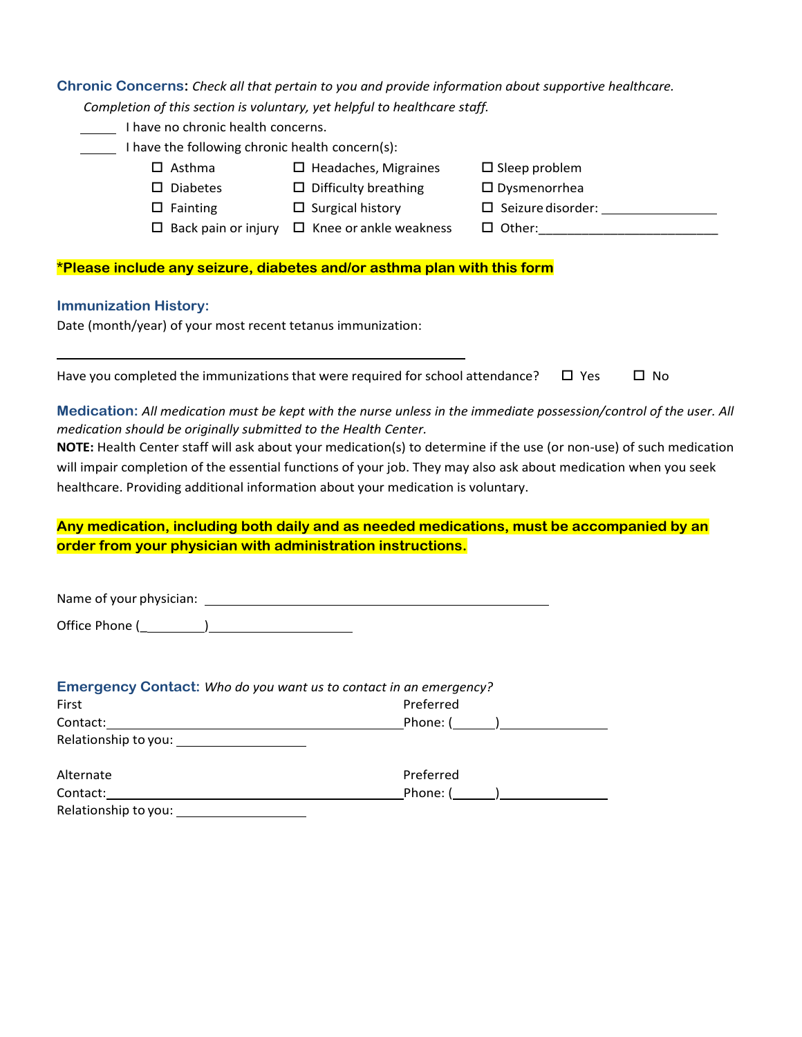| Chronic Concerns: Check all that pertain to you and provide information about supportive healthcare.                                                                                                |                                                                           |                                    |              |
|-----------------------------------------------------------------------------------------------------------------------------------------------------------------------------------------------------|---------------------------------------------------------------------------|------------------------------------|--------------|
|                                                                                                                                                                                                     | Completion of this section is voluntary, yet helpful to healthcare staff. |                                    |              |
| I have no chronic health concerns.                                                                                                                                                                  |                                                                           |                                    |              |
| I have the following chronic health concern(s):                                                                                                                                                     |                                                                           |                                    |              |
| $\Box$ Asthma                                                                                                                                                                                       | $\Box$ Headaches, Migraines                                               | $\square$ Sleep problem            |              |
| $\square$ Diabetes                                                                                                                                                                                  | $\Box$ Difficulty breathing                                               | $\square$ Dysmenorrhea             |              |
| $\Box$ Fainting                                                                                                                                                                                     | $\Box$ Surgical history                                                   | $\square$ Seizure disorder: $\_\_$ |              |
|                                                                                                                                                                                                     | $\Box$ Back pain or injury $\Box$ Knee or ankle weakness                  |                                    |              |
| *Please include any seizure, diabetes and/or asthma plan with this form                                                                                                                             |                                                                           |                                    |              |
| <b>Immunization History:</b>                                                                                                                                                                        |                                                                           |                                    |              |
| Date (month/year) of your most recent tetanus immunization:                                                                                                                                         |                                                                           |                                    |              |
| Have you completed the immunizations that were required for school attendance?                                                                                                                      |                                                                           | $\Box$ Yes                         | $\square$ No |
|                                                                                                                                                                                                     |                                                                           |                                    |              |
| Medication: All medication must be kept with the nurse unless in the immediate possession/control of the user. All                                                                                  |                                                                           |                                    |              |
| medication should be originally submitted to the Health Center.<br>NOTE: Health Center staff will ask about your medication(s) to determine if the use (or non-use) of such medication              |                                                                           |                                    |              |
|                                                                                                                                                                                                     |                                                                           |                                    |              |
| will impair completion of the essential functions of your job. They may also ask about medication when you seek<br>healthcare. Providing additional information about your medication is voluntary. |                                                                           |                                    |              |
|                                                                                                                                                                                                     |                                                                           |                                    |              |
| Any medication, including both daily and as needed medications, must be accompanied by an                                                                                                           |                                                                           |                                    |              |
| order from your physician with administration instructions.                                                                                                                                         |                                                                           |                                    |              |
|                                                                                                                                                                                                     |                                                                           |                                    |              |
| Office Phone (                                                                                                                                                                                      |                                                                           |                                    |              |
|                                                                                                                                                                                                     |                                                                           |                                    |              |
| Emergency Contact: Who do you want us to contact in an emergency?                                                                                                                                   |                                                                           |                                    |              |
| First                                                                                                                                                                                               | Preferred                                                                 |                                    |              |
| Contact:                                                                                                                                                                                            |                                                                           | Phone: ( )                         |              |
|                                                                                                                                                                                                     |                                                                           |                                    |              |
| Alternate                                                                                                                                                                                           | Preferred                                                                 |                                    |              |
|                                                                                                                                                                                                     |                                                                           | Phone: ( )                         |              |
| Relationship to you: <u>contained a series and series</u>                                                                                                                                           |                                                                           |                                    |              |
|                                                                                                                                                                                                     |                                                                           |                                    |              |
|                                                                                                                                                                                                     |                                                                           |                                    |              |
|                                                                                                                                                                                                     |                                                                           |                                    |              |